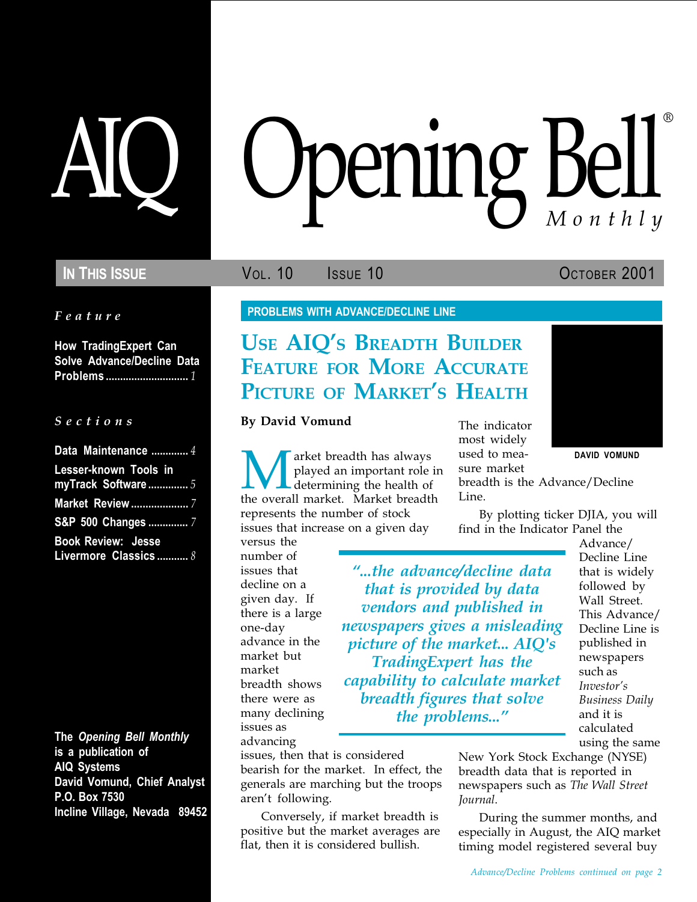Feature

How TradingExpert Can Solve Advance/Decline Data Problems ............................. 1

#### S e c t i o n s

| Data Maintenance  4          |
|------------------------------|
| <b>Lesser-known Tools in</b> |
| myTrack Software5            |
| <b>Market Review</b> 7       |
| S&P 500 Changes  7           |
| <b>Book Review: Jesse</b>    |

Livermore Classics ........... 8

The Opening Bell Monthly is a publication of AIQ Systems David Vomund, Chief Analyst P.O. Box 7530 Incline Village, Nevada 89452

# pening Bell ®

IN THIS ISSUE **VOL. 10** ISSUE 10 OCTOBER 2001

PROBLEMS WITH ADVANCE/DECLINE LINE

# **USE AIQ'S BREADTH BUILDER** FEATURE FOR MORE ACCURATE PICTURE OF MARKET'S HEALTH

#### By David Vomund

**EXECUTE:** The played an important role in the sure market played an important role in the market breadth is the Advance/Decline the overall market. Market breadth Line. played an important role in determining the health of the overall market. Market breadth represents the number of stock issues that increase on a given day

versus the number of issues that decline on a given day. If there is a large one-day advance in the market but market breadth shows there were as many declining issues as advancing

aren't following.

issues, then that is considered

bearish for the market. In effect, the generals are marching but the troops

Conversely, if market breadth is positive but the market averages are flat, then it is considered bullish.

...the advance/decline data that is provided by data vendors and published in newspapers gives a misleading picture of the market... AIQ's TradingExpert has the capability to calculate market breadth figures that solve the *problems...*"

most widely used to measure market

The indicator

breadth is the Advance/Decline Line.

By plotting ticker DJIA, you will find in the Indicator Panel the

> Advance/ Decline Line that is widely followed by Wall Street. This Advance/ Decline Line is published in newspapers such as Investor's Business Daily and it is calculated using the same

New York Stock Exchange (NYSE) breadth data that is reported in newspapers such as The Wall Street Journal.

During the summer months, and especially in August, the AIQ market timing model registered several buy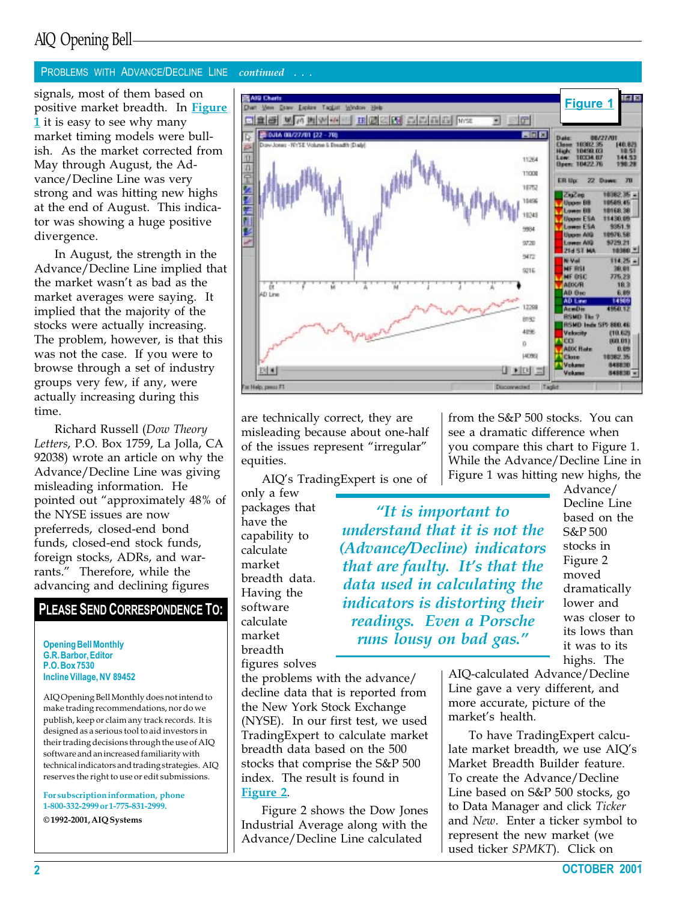# AIQ Opening Bell

#### PROBLEMS WITH ADVANCE/DECLINE LINE continued . . .

positive market breadth. In Figure 1 it is easy to see why many market timing models were bullish. As the market corrected from May through August, the Advance/Decline Line was very strong and was hitting new highs at the end of August. This indicator was showing a huge positive divergence.

In August, the strength in the Advance/Decline Line implied that the market wasn't as bad as the market averages were saying. It implied that the majority of the stocks were actually increasing. The problem, however, is that this was not the case. If you were to browse through a set of industry groups very few, if any, were actually increasing during this time.

Richard Russell (Dow Theory Letters, P.O. Box 1759, La Jolla, CA 92038) wrote an article on why the Advance/Decline Line was giving misleading information. He pointed out "approximately 48% of the NYSE issues are now preferreds, closed-end bond funds, closed-end stock funds, foreign stocks, ADRs, and warrants." Therefore, while the advancing and declining figures

#### PLEASE SEND CORRESPONDENCE TO:

Opening Bell Monthly G.R. Barbor, Editor P.O. Box 7530 Incline Village, NV 89452

AIQ Opening Bell Monthly does not intend to make trading recommendations, nor do we publish, keep or claim any track records. It is designed as a serious tool to aid investors in their trading decisions through the use of AIQ software and an increased familiarity with technical indicators and trading strategies. AIQ reserves the right to use or edit submissions.

For subscription information, phone 1-800-332-2999 or 1-775-831-2999.

© 1992-2001, AIQ Systems



are technically correct, they are misleading because about one-half of the issues represent "irregular" equities.

AIQ's TradingExpert is one of

only a few packages that have the capability to calculate market breadth data. Having the software calculate market breadth figures solves from the S&P 500 stocks. You can see a dramatic difference when you compare this chart to Figure 1. While the Advance/Decline Line in Figure 1 was hitting new highs, the

"It is important to understand that it is not the (Advance/Decline) indicators that are faulty. It's that the data used in calculating the indicators is distorting their readings. Even a Porsche runs lousy on bad gas.

Advance/ Decline Line based on the S&P 500 stocks in Figure 2 moved dramatically lower and was closer to its lows than it was to its highs. The

the problems with the advance/ decline data that is reported from the New York Stock Exchange (NYSE). In our first test, we used TradingExpert to calculate market breadth data based on the 500 stocks that comprise the S&P 500 index. The result is found in Figure 2.

Figure 2 shows the Dow Jones Industrial Average along with the Advance/Decline Line calculated

AIQ-calculated Advance/Decline Line gave a very different, and more accurate, picture of the market's health.

To have TradingExpert calculate market breadth, we use AIQ's Market Breadth Builder feature. To create the Advance/Decline Line based on S&P 500 stocks, go to Data Manager and click Ticker and New. Enter a ticker symbol to represent the new market (we used ticker SPMKT). Click on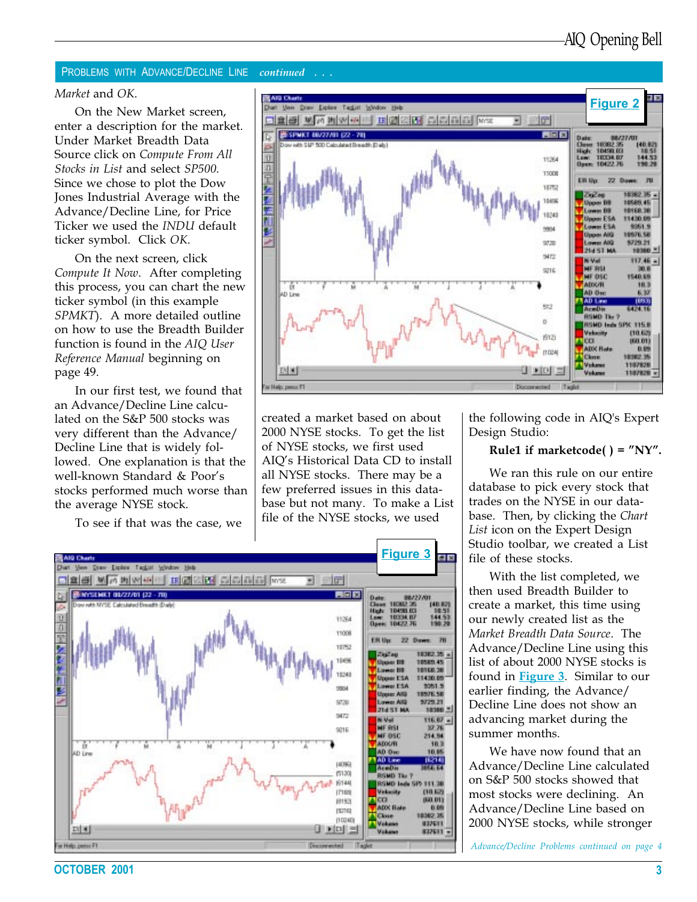#### PROBLEMS WITH ADVANCE/DECLINE LINE continued . . .

#### Market and OK.

On the New Market screen, enter a description for the market. Under Market Breadth Data Source click on Compute From All Stocks in List and select SP500. Since we chose to plot the Dow Jones Industrial Average with the Advance/Decline Line, for Price Ticker we used the INDU default ticker symbol. Click OK.

On the next screen, click Compute It Now. After completing this process, you can chart the new ticker symbol (in this example SPMKT). A more detailed outline on how to use the Breadth Builder function is found in the AIQ User Reference Manual beginning on page 49.

In our first test, we found that an Advance/Decline Line calculated on the S&P 500 stocks was very different than the Advance/ Decline Line that is widely followed. One explanation is that the well-known Standard & Poor's stocks performed much worse than the average NYSE stock.

To see if that was the case, we



created a market based on about 2000 NYSE stocks. To get the list of NYSE stocks, we first used AIO's Historical Data CD to install all NYSE stocks. There may be a few preferred issues in this database but not many. To make a List file of the NYSE stocks, we used



the following code in AIQ's Expert Design Studio:

#### Rule1 if marketcode( $) = "NY"$ .

We ran this rule on our entire database to pick every stock that trades on the NYSE in our database. Then, by clicking the Chart List icon on the Expert Design Studio toolbar, we created a List file of these stocks.

With the list completed, we then used Breadth Builder to create a market, this time using our newly created list as the Market Breadth Data Source. The Advance/Decline Line using this list of about 2000 NYSE stocks is found in Figure 3. Similar to our earlier finding, the Advance/ Decline Line does not show an advancing market during the summer months.

We have now found that an Advance/Decline Line calculated on S&P 500 stocks showed that most stocks were declining. An Advance/Decline Line based on 2000 NYSE stocks, while stronger

Advance/Decline Problems continued on page 4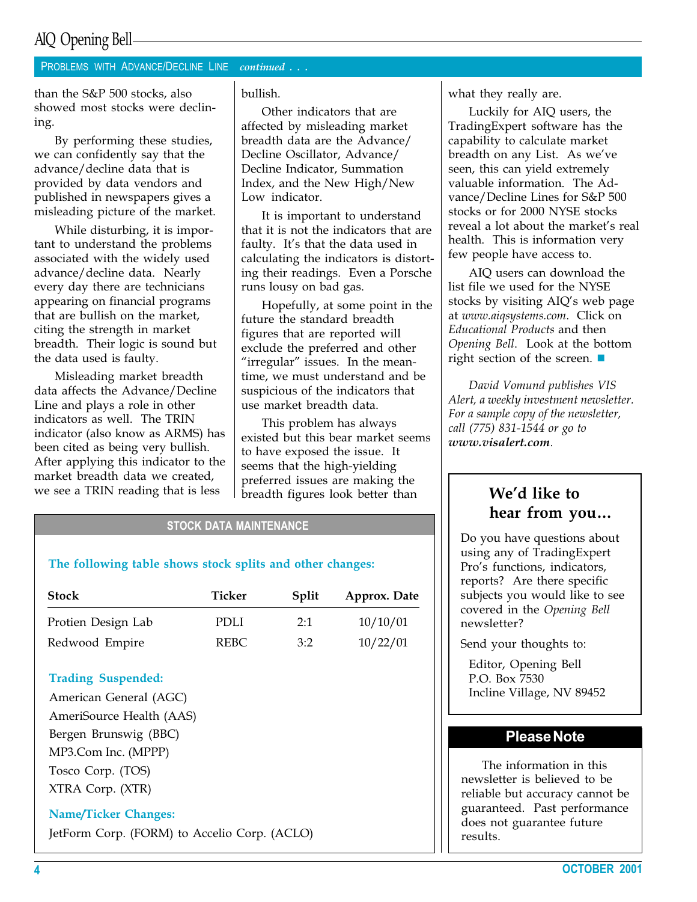## AIQ Opening Bell

#### PROBLEMS WITH ADVANCE/DECLINE LINE continued . . .

than the S&P 500 stocks, also showed most stocks were declining.

By performing these studies, we can confidently say that the advance/decline data that is provided by data vendors and published in newspapers gives a misleading picture of the market.

While disturbing, it is important to understand the problems associated with the widely used advance/decline data. Nearly every day there are technicians appearing on financial programs that are bullish on the market, citing the strength in market breadth. Their logic is sound but the data used is faulty.

Misleading market breadth data affects the Advance/Decline Line and plays a role in other indicators as well. The TRIN indicator (also know as ARMS) has been cited as being very bullish. After applying this indicator to the market breadth data we created, we see a TRIN reading that is less

bullish.

Other indicators that are affected by misleading market breadth data are the Advance/ Decline Oscillator, Advance/ Decline Indicator, Summation Index, and the New High/New Low indicator.

It is important to understand that it is not the indicators that are faulty. It's that the data used in calculating the indicators is distorting their readings. Even a Porsche runs lousy on bad gas.

Hopefully, at some point in the future the standard breadth figures that are reported will exclude the preferred and other "irregular" issues. In the meantime, we must understand and be suspicious of the indicators that use market breadth data.

This problem has always existed but this bear market seems to have exposed the issue. It seems that the high-yielding preferred issues are making the breadth figures look better than

#### STOCK DATA MAINTENANCE

#### The following table shows stock splits and other changes:

| <b>Stock</b>       | Ticker | Split | Approx. Date |
|--------------------|--------|-------|--------------|
| Protien Design Lab | PDLI.  | 2:1   | 10/10/01     |
| Redwood Empire     | REBC.  | 3:2   | 10/22/01     |

#### Trading Suspended:

American General (AGC) AmeriSource Health (AAS) Bergen Brunswig (BBC) MP3.Com Inc. (MPPP) Tosco Corp. (TOS) XTRA Corp. (XTR)

#### Name/Ticker Changes:

JetForm Corp. (FORM) to Accelio Corp. (ACLO)

what they really are.

Luckily for AIQ users, the TradingExpert software has the capability to calculate market breadth on any List. As we've seen, this can yield extremely valuable information. The Advance/Decline Lines for S&P 500 stocks or for 2000 NYSE stocks reveal a lot about the market's real health. This is information very few people have access to.

AIQ users can download the list file we used for the NYSE stocks by visiting AIQ's web page at www.aiqsystems.com. Click on Educational Products and then Opening Bell. Look at the bottom right section of the screen.  $\blacksquare$ 

David Vomund publishes VIS Alert, a weekly investment newsletter. For a sample copy of the newsletter, call (775) 831-1544 or go to www.visalert.com.

#### We'd like to hear from you

Do you have questions about using any of TradingExpert Pro's functions, indicators, reports? Are there specific subjects you would like to see covered in the Opening Bell newsletter?

Send your thoughts to:

Editor, Opening Bell P.O. Box 7530 Incline Village, NV 89452

#### Please Note

The information in this newsletter is believed to be reliable but accuracy cannot be guaranteed. Past performance does not guarantee future results.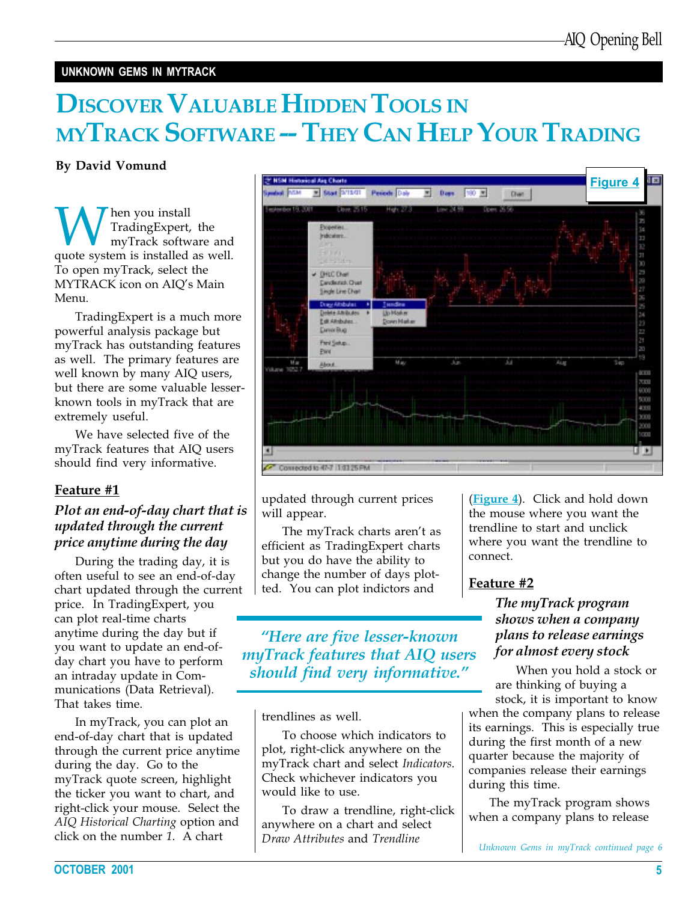#### UNKNOWN GEMS IN MYTRACK

# DISCOVER VALUABLE HIDDEN TOOLS IN MYTRACK SOFTWARE -- THEY CAN HELP YOUR TRADING

By David Vomund

**W** Trading Expert, the<br>
myTrack software and<br>
quote system is installed as well. TradingExpert, the myTrack software and To open myTrack, select the MYTRACK icon on AIO's Main Menu.

TradingExpert is a much more powerful analysis package but myTrack has outstanding features as well. The primary features are well known by many AIQ users, but there are some valuable lesserknown tools in myTrack that are extremely useful.

We have selected five of the myTrack features that AIQ users should find very informative.

#### Feature #1

#### Plot an end-of-day chart that is updated through the current price anytime during the day

During the trading day, it is often useful to see an end-of-day chart updated through the current price. In TradingExpert, you can plot real-time charts anytime during the day but if you want to update an end-ofday chart you have to perform an intraday update in Communications (Data Retrieval). That takes time.

In myTrack, you can plot an end-of-day chart that is updated through the current price anytime during the day. Go to the myTrack quote screen, highlight the ticker you want to chart, and right-click your mouse. Select the AIQ Historical Charting option and click on the number 1. A chart



updated through current prices will appear.

The myTrack charts aren't as efficient as TradingExpert charts but you do have the ability to change the number of days plotted. You can plot indictors and

Here are five lesser-known myTrack features that AIQ users should find very informative."

trendlines as well.

To choose which indicators to plot, right-click anywhere on the myTrack chart and select Indicators. Check whichever indicators you would like to use.

To draw a trendline, right-click anywhere on a chart and select Draw Attributes and Trendline

(**Figure 4**). Click and hold down the mouse where you want the trendline to start and unclick where you want the trendline to connect.

#### Feature #2

#### The myTrack program shows when a company plans to release earnings for almost every stock

When you hold a stock or are thinking of buying a

stock, it is important to know when the company plans to release its earnings. This is especially true during the first month of a new quarter because the majority of companies release their earnings during this time.

The myTrack program shows when a company plans to release

Unknown Gems in myTrack continued page 6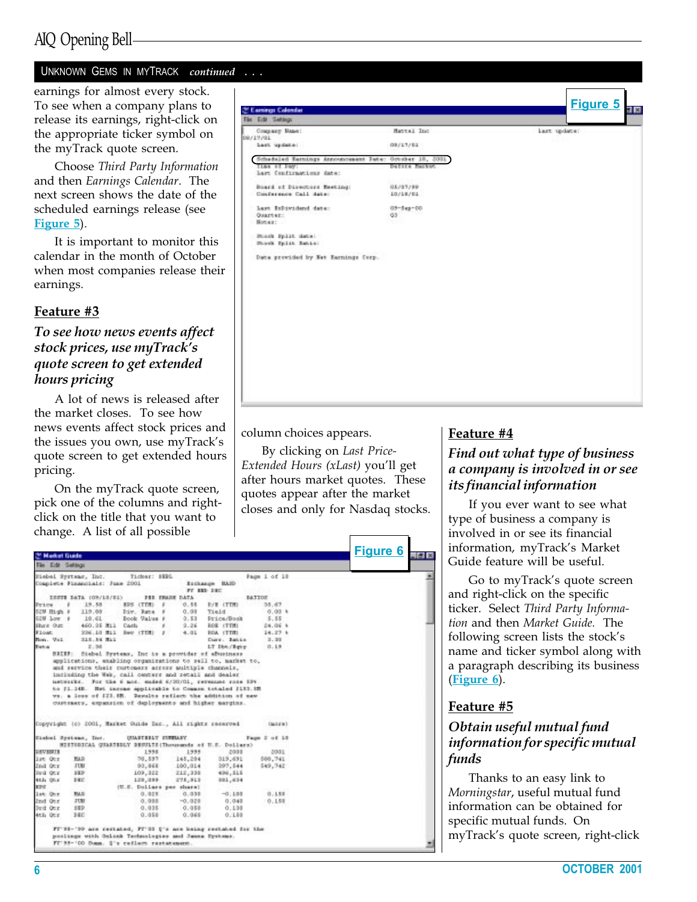# AIQ Opening Bell

#### UNKNOWN GEMS IN MYTRACK continued . . .

earnings for almost every stock. To see when a company plans to release its earnings, right-click on the appropriate ticker symbol on the myTrack quote screen.

Choose Third Party Information and then Earnings Calendar. The next screen shows the date of the scheduled earnings release (see Figure 5).

It is important to monitor this calendar in the month of October when most companies release their earnings.

#### Feature #3

#### To see how news events affect stock prices, use myTrack's quote screen to get extended hours pricing

A lot of news is released after the market closes. To see how news events affect stock prices and the issues you own, use myTrack's quote screen to get extended hours pricing.

On the myTrack quote screen, pick one of the columns and rightclick on the title that you want to change. A list of all possible

| The Edit Settings<br>Coupany State:                    | Hantal Inc.                  | Last update: |
|--------------------------------------------------------|------------------------------|--------------|
| 09/17/01<br>Last update:                               | 08/17/01                     |              |
| Scheduled Barnings Announcement Bate: October 18, 2001 |                              |              |
| Time of Pay:<br>lart Confirmations date:               | Defere Macket                |              |
| Board of Directors Resting:<br>Conference Call date:   | 05/07/99<br>10/18/81         |              |
| Last InDividend date:<br>Quarter:<br>Notward.          | 09-Sep-00<br>00 <sup>1</sup> |              |
| Buesk Split date:<br>Book Split Istin                  |                              |              |
| Data provided by Net Ramings Corp.                     |                              |              |
|                                                        |                              |              |
|                                                        |                              |              |
|                                                        |                              |              |
|                                                        |                              |              |
|                                                        |                              |              |
|                                                        |                              |              |
|                                                        |                              |              |

column choices appears.

By clicking on Last Price-Extended Hours (xLast) you'll get after hours market quotes. These quotes appear after the market closes and only for Nasdaq stocks.

|                                                       | <b>Market Guide</b>            |                                                                                                                                                                                     |                    |                    |                   | <b>Figure 6</b><br>56 R |
|-------------------------------------------------------|--------------------------------|-------------------------------------------------------------------------------------------------------------------------------------------------------------------------------------|--------------------|--------------------|-------------------|-------------------------|
| The Edit Settings                                     |                                |                                                                                                                                                                                     |                    |                    |                   |                         |
|                                                       | Siebel Systems, Inc.           | Ticker: ISEL                                                                                                                                                                        |                    |                    | Page 1 of 10      | Ξ                       |
|                                                       | Complete Pinancials: June 2001 |                                                                                                                                                                                     |                    | Eschange RA2D      |                   |                         |
|                                                       |                                |                                                                                                                                                                                     |                    | FT EED DEC         |                   |                         |
|                                                       | CESTE BATA (OR/18/BI)          | FEE FRADE DATA                                                                                                                                                                      |                    |                    | <b>BATTOE</b>     |                         |
| <b>SYLON</b>                                          | 19.55<br>٠                     | 826 (TTM)                                                                                                                                                                           | 0.55               | D/B (TTM)          | 35.67             |                         |
| <b>IS2M High #</b>                                    | 119.00                         | Jun. Rane                                                                                                                                                                           | 0.00               | Tield              | 0.00 <sub>h</sub> |                         |
| E2W Low #                                             | 10.61                          | Book Value                                                                                                                                                                          | 0.53               | Pt ice/Book        | 5.55              |                         |
| Share Out:<br><b>SIGNS</b>                            | 460.25 MIL                     | Carta                                                                                                                                                                               | 9.26               | ROW (TTM)          | 24.06 %           |                         |
|                                                       | 226.10 MLL                     | Rev (TTM)                                                                                                                                                                           | 4.01               | <b>SOA (TTR)</b>   | $14.27$ \$        |                         |
| Bon. Vol.                                             | S18.54 Mil                     |                                                                                                                                                                                     |                    | Curr. Batte        | 3.30              |                         |
| <b>Bishis</b>                                         | 2.38                           | BRIEF: Siebel Systems, Inc is a provider of aBusiness                                                                                                                               |                    | LT Die / Behr      | 0.19              |                         |
|                                                       |                                | networks. For the 6 nos. ended 6/20/01, revenues rose 194-<br>to 21.148. Het income applicable to Common totaled 2112.18                                                            |                    |                    |                   |                         |
|                                                       |                                | ws, a less of \$23.88. Desults reflect the addition of new<br>custinary, expansion of deployments and higher margins.<br>Copyright (c) 2001, Market Ouide Eas., All rights reserved |                    |                    | (Seduce 5)        |                         |
|                                                       | Eichel Systems, Inc.           | <b>COLUMN TIME TO AN ALL ST</b>                                                                                                                                                     |                    |                    | Fage 2 of 10      |                         |
|                                                       |                                | HISTODICAL QUARTEDLY BESULTS (Thousands of U.S. Dollars)                                                                                                                            |                    |                    |                   |                         |
|                                                       |                                | 1558                                                                                                                                                                                | 1999               | 2008               | 2001              |                         |
|                                                       | <b>BAR</b><br><b>JUM</b>       | 70.597                                                                                                                                                                              | 145,204            | 019,691            | 560.741           |                         |
|                                                       | 1851                           | 90,068<br>109,322                                                                                                                                                                   | 100,014            | 097.544            | 549,742           |                         |
| ORVERTE<br>list Our<br>Ind Our<br>live our<br>Ath Our | DEC.                           | 128,039                                                                                                                                                                             | 212,238<br>275,313 | 496,515<br>881,634 |                   |                         |
|                                                       |                                | (U.S. Dollars per share)                                                                                                                                                            |                    |                    |                   |                         |
|                                                       | RAD.                           | 0.025                                                                                                                                                                               | 0.038              | $-0.100$           | 0,188             |                         |
|                                                       | <b>JUM</b>                     | 0.988                                                                                                                                                                               | $-0.028$           | 0.048              | 0.150             |                         |
|                                                       | 582                            | 0.035                                                                                                                                                                               | 0.058              | 0.138              |                   |                         |
|                                                       | 140                            | 0.058                                                                                                                                                                               | 0.968              | 0.150              |                   |                         |
| 深定区<br>lat Our<br>2nd Our<br>Ded Ove<br>Ath Otr       |                                | FF'98-'99 are restated, FF'33 Q's are being restated for the                                                                                                                        |                    |                    |                   |                         |
|                                                       |                                | positogs with Onlink Technologies and Janua Systems.<br>Ff'99-'00 Summ. G's cuflum rastatement.                                                                                     |                    |                    |                   |                         |

#### Feature #4

#### Find out what type of business a company is involved in or see its financial information

If you ever want to see what type of business a company is involved in or see its financial information, myTrack's Market Guide feature will be useful.

Go to myTrack's quote screen and right-click on the specific ticker. Select Third Party Information and then Market Guide. The following screen lists the stock's name and ticker symbol along with a paragraph describing its business (Figure 6).

#### Feature #5

#### Obtain useful mutual fund information for specific mutual funds

Thanks to an easy link to Morningstar, useful mutual fund information can be obtained for specific mutual funds. On myTrack's quote screen, right-click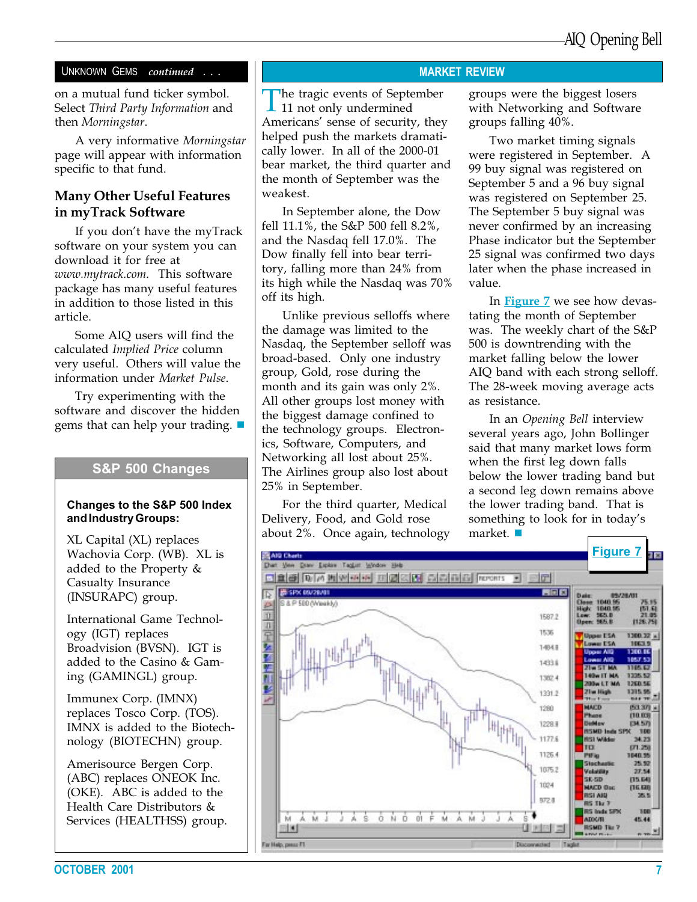#### UNKNOWN GEMS continued . . .

on a mutual fund ticker symbol. Select Third Party Information and then Morningstar.

A very informative Morningstar page will appear with information specific to that fund.

#### Many Other Useful Features in myTrack Software

If you don't have the myTrack software on your system you can download it for free at www.mytrack.com. This software package has many useful features in addition to those listed in this article.

Some AIQ users will find the calculated Implied Price column very useful. Others will value the information under Market Pulse.

Try experimenting with the software and discover the hidden gems that can help your trading.  $\blacksquare$ 

#### S&P 500 Changes

#### Changes to the S&P 500 Index and Industry Groups:

XL Capital (XL) replaces Wachovia Corp. (WB). XL is added to the Property & Casualty Insurance (INSURAPC) group.

International Game Technology (IGT) replaces Broadvision (BVSN). IGT is added to the Casino & Gaming (GAMINGL) group.

Immunex Corp. (IMNX) replaces Tosco Corp. (TOS). IMNX is added to the Biotechnology (BIOTECHN) group.

Amerisource Bergen Corp. (ABC) replaces ONEOK Inc. (OKE). ABC is added to the Health Care Distributors & Services (HEALTHSS) group.

#### MARKET REVIEW

The tragic events of September 11 not only undermined Americans' sense of security, they helped push the markets dramatically lower. In all of the 2000-01 bear market, the third quarter and the month of September was the weakest.

In September alone, the Dow fell 11.1%, the S&P 500 fell 8.2%, and the Nasdaq fell 17.0%. The Dow finally fell into bear territory, falling more than 24% from its high while the Nasdaq was 70% off its high.

Unlike previous selloffs where the damage was limited to the Nasdaq, the September selloff was broad-based. Only one industry group, Gold, rose during the month and its gain was only 2%. All other groups lost money with the biggest damage confined to the technology groups. Electronics, Software, Computers, and Networking all lost about 25%. The Airlines group also lost about 25% in September.

For the third quarter, Medical Delivery, Food, and Gold rose about 2%. Once again, technology groups were the biggest losers with Networking and Software groups falling 40%.

Two market timing signals were registered in September. A 99 buy signal was registered on September 5 and a 96 buy signal was registered on September 25. The September 5 buy signal was never confirmed by an increasing Phase indicator but the September 25 signal was confirmed two days later when the phase increased in value.

500 is downtrending with the In Figure 7 we see how devastating the month of September was. The weekly chart of the S&P market falling below the lower AIQ band with each strong selloff. The 28-week moving average acts as resistance.

In an Opening Bell interview several years ago, John Bollinger said that many market lows form when the first leg down falls below the lower trading band but a second leg down remains above the lower trading band. That is something to look for in today's market.  $\blacksquare$